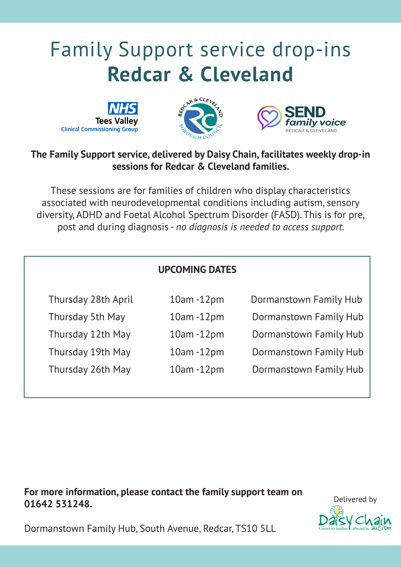# Family Support service drop-ins **Redcar & Cleveland**







### **The Family Support service, delivered by Daisy Chain, facilitates weekly drop-in sessions for Redcar & Cleveland families.**

These sessions are for families of children who display characteristics associated with neurodevelopmental conditions including autism, sensory diversity, ADHD and Foetal Alcohol Spectrum Disorder (FASD). This is for pre, post and during diagnosis - *no diagnosis is needed to access support.*

|                     | <b>UPCOMING DATES</b> |                        |
|---------------------|-----------------------|------------------------|
| Thursday 28th April | $10am - 12pm$         | Dormanstown Family Hub |
| Thursday 5th May    | $10am - 12pm$         | Dormanstown Family Hub |
| Thursday 12th May   | $10am - 12pm$         | Dormanstown Family Hub |
| Thursday 19th May   | $10am - 12pm$         | Dormanstown Family Hub |
| Thursday 26th May   | $10am - 12pm$         | Dormanstown Family Hub |

**For more information, please contact the family support team on 01642 531248.**



Dormanstown Family Hub, South Avenue, Redcar, TS10 5LL